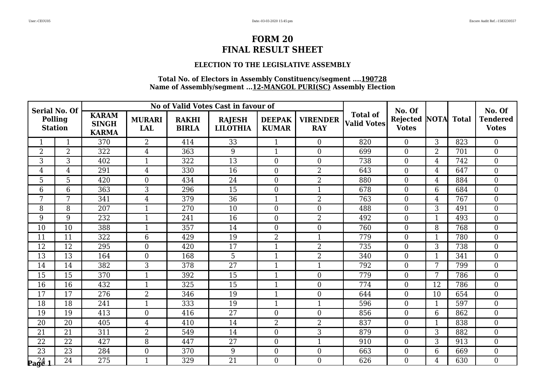### **ELECTION TO THE LEGISLATIVE ASSEMBLY**

| <b>Serial No. Of</b>             |                 |                                              |                             |                              | No of Valid Votes Cast in favour of |                               |                               |                                       | No. Of                               |                |              | No. Of                          |
|----------------------------------|-----------------|----------------------------------------------|-----------------------------|------------------------------|-------------------------------------|-------------------------------|-------------------------------|---------------------------------------|--------------------------------------|----------------|--------------|---------------------------------|
| <b>Polling</b><br><b>Station</b> |                 | <b>KARAM</b><br><b>SINGH</b><br><b>KARMA</b> | <b>MURARI</b><br><b>LAL</b> | <b>RAKHI</b><br><b>BIRLA</b> | <b>RAJESH</b><br><b>LILOTHIA</b>    | <b>DEEPAK</b><br><b>KUMAR</b> | <b>VIRENDER</b><br><b>RAY</b> | <b>Total of</b><br><b>Valid Votes</b> | <b>Rejected NOTA</b><br><b>Votes</b> |                | <b>Total</b> | <b>Tendered</b><br><b>Votes</b> |
|                                  | $\mathbf{1}$    | 370                                          | $\overline{2}$              | 414                          | 33                                  | $\mathbf{1}$                  | $\overline{0}$                | 820                                   | $\Omega$                             | 3              | 823          | $\theta$                        |
| 2                                | $\overline{2}$  | 322                                          | 4                           | 363                          | 9                                   | 1                             | $\boldsymbol{0}$              | 699                                   | $\overline{0}$                       | $\overline{2}$ | 701          | $\boldsymbol{0}$                |
| 3                                | $\overline{3}$  | 402                                          | $\mathbf{1}$                | 322                          | $\overline{13}$                     | $\overline{0}$                | $\boldsymbol{0}$              | 738                                   | $\boldsymbol{0}$                     | $\overline{4}$ | 742          | $\boldsymbol{0}$                |
| $\overline{4}$                   | $\overline{4}$  | 291                                          | 4                           | 330                          | 16                                  | $\boldsymbol{0}$              | $\overline{2}$                | 643                                   | $\Omega$                             | $\overline{4}$ | 647          | $\boldsymbol{0}$                |
| 5                                | 5               | 420                                          | $\overline{0}$              | 434                          | 24                                  | $\overline{0}$                | $\overline{2}$                | 880                                   | $\overline{0}$                       | $\overline{4}$ | 884          | $\overline{0}$                  |
| 6                                | $6\phantom{1}6$ | 363                                          | 3                           | 296                          | 15                                  | $\overline{0}$                | $\mathbf{1}$                  | 678                                   | $\overline{0}$                       | 6              | 684          | $\overline{0}$                  |
| 7                                | 7               | 341                                          | $\overline{4}$              | 379                          | 36                                  | $\mathbf{1}$                  | $\overline{2}$                | 763                                   | $\Omega$                             | $\overline{4}$ | 767          | $\boldsymbol{0}$                |
| 8                                | 8               | 207                                          | $\mathbf{1}$                | 270                          | 10                                  | $\overline{0}$                | $\boldsymbol{0}$              | 488                                   | $\overline{0}$                       | 3              | 491          | $\boldsymbol{0}$                |
| 9                                | 9               | 232                                          | $\mathbf{1}$                | 241                          | 16                                  | $\overline{0}$                | $\overline{2}$                | 492                                   | $\mathbf{0}$                         | $\mathbf{1}$   | 493          | $\boldsymbol{0}$                |
| 10                               | 10              | 388                                          | $\mathbf{1}$                | 357                          | 14                                  | $\overline{0}$                | $\overline{0}$                | 760                                   | $\theta$                             | 8              | 768          | $\overline{0}$                  |
| 11                               | 11              | 322                                          | 6                           | 429                          | 19                                  | $\overline{2}$                | $\mathbf{1}$                  | 779                                   | $\mathbf{0}$                         | 1              | 780          | $\overline{0}$                  |
| 12                               | 12              | 295                                          | $\boldsymbol{0}$            | 420                          | 17                                  | 1                             | $\overline{2}$                | 735                                   | $\mathbf{0}$                         | 3              | 738          | $\boldsymbol{0}$                |
| 13                               | 13              | 164                                          | $\overline{0}$              | 168                          | 5                                   | $\mathbf{1}$                  | $\overline{2}$                | 340                                   | $\overline{0}$                       | $\mathbf{1}$   | 341          | $\boldsymbol{0}$                |
| 14                               | 14              | 382                                          | 3                           | 378                          | 27                                  | $\mathbf{1}$                  | $\mathbf{1}$                  | 792                                   | $\overline{0}$                       | 7              | 799          | $\boldsymbol{0}$                |
| $\overline{15}$                  | 15              | 370                                          | $\overline{1}$              | 392                          | 15                                  | $\mathbf{1}$                  | $\mathbf{0}$                  | 779                                   | $\overline{0}$                       | 7              | 786          | $\overline{0}$                  |
| 16                               | 16              | 432                                          | $\mathbf{1}$                | 325                          | 15                                  | 1                             | $\mathbf{0}$                  | 774                                   | $\overline{0}$                       | 12             | 786          | $\overline{0}$                  |
| 17                               | 17              | 276                                          | $\overline{2}$              | 346                          | 19                                  | $\mathbf{1}$                  | $\boldsymbol{0}$              | 644                                   | $\theta$                             | 10             | 654          | $\boldsymbol{0}$                |
| $\overline{18}$                  | 18              | 241                                          | $\mathbf{1}$                | 333                          | 19                                  | $\mathbf{1}$                  | $\mathbf{1}$                  | 596                                   | $\overline{0}$                       | $\mathbf{1}$   | 597          | $\overline{0}$                  |
| 19                               | 19              | 413                                          | $\overline{0}$              | 416                          | 27                                  | $\overline{0}$                | $\overline{0}$                | 856                                   | $\Omega$                             | 6              | 862          | $\boldsymbol{0}$                |
| 20                               | 20              | 405                                          | 4                           | 410                          | 14                                  | $\overline{2}$                | $\overline{2}$                | 837                                   | $\mathbf{0}$                         | $\mathbf{1}$   | 838          | $\boldsymbol{0}$                |
| 21                               | 21              | 311                                          | $\overline{2}$              | 549                          | 14                                  | $\overline{0}$                | 3                             | 879                                   | $\theta$                             | 3              | 882          | $\overline{0}$                  |
| 22                               | 22              | 427                                          | 8                           | 447                          | 27                                  | $\overline{0}$                | $\mathbf{1}$                  | 910                                   | $\theta$                             | 3              | 913          | $\boldsymbol{0}$                |
| $\overline{23}$                  | 23              | 284                                          | $\boldsymbol{0}$            | 370                          | 9                                   | $\overline{0}$                | $\boldsymbol{0}$              | 663                                   | $\mathbf{0}$                         | $6\phantom{1}$ | 669          | $\overline{0}$                  |
| $\log_{4}^{24}$ 1                | 24              | 275                                          | $\mathbf{1}$                | 329                          | $\overline{21}$                     | $\overline{0}$                | $\theta$                      | 626                                   | $\Omega$                             | $\overline{4}$ | 630          | $\overline{0}$                  |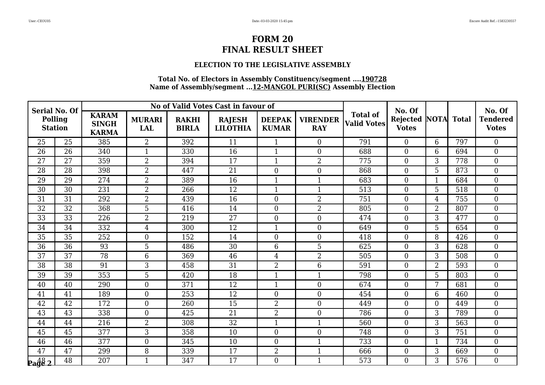### **ELECTION TO THE LEGISLATIVE ASSEMBLY**

| <b>Serial No. Of</b>             |                 |                                              |                             |                              | No of Valid Votes Cast in favour of |                               |                               |                                       | No. Of                          |                |              | No. Of                          |
|----------------------------------|-----------------|----------------------------------------------|-----------------------------|------------------------------|-------------------------------------|-------------------------------|-------------------------------|---------------------------------------|---------------------------------|----------------|--------------|---------------------------------|
| <b>Polling</b><br><b>Station</b> |                 | <b>KARAM</b><br><b>SINGH</b><br><b>KARMA</b> | <b>MURARI</b><br><b>LAL</b> | <b>RAKHI</b><br><b>BIRLA</b> | <b>RAJESH</b><br><b>LILOTHIA</b>    | <b>DEEPAK</b><br><b>KUMAR</b> | <b>VIRENDER</b><br><b>RAY</b> | <b>Total of</b><br><b>Valid Votes</b> | <b>Rejected</b><br><b>Votes</b> | <b>NOTA</b>    | <b>Total</b> | <b>Tendered</b><br><b>Votes</b> |
| 25                               | 25              | 385                                          | $\overline{2}$              | 392                          | 11                                  | $\mathbf{1}$                  | $\overline{0}$                | 791                                   | $\Omega$                        | 6              | 797          | $\theta$                        |
| 26                               | 26              | 340                                          | 1                           | 330                          | 16                                  | 1                             | $\boldsymbol{0}$              | 688                                   | $\mathbf{0}$                    | 6              | 694          | $\boldsymbol{0}$                |
| 27                               | $\overline{27}$ | 359                                          | $\overline{2}$              | 394                          | $\overline{17}$                     | $\mathbf{1}$                  | $\overline{2}$                | 775                                   | $\boldsymbol{0}$                | 3              | 778          | $\boldsymbol{0}$                |
| 28                               | 28              | 398                                          | $\overline{2}$              | 447                          | 21                                  | $\boldsymbol{0}$              | $\boldsymbol{0}$              | 868                                   | $\Omega$                        | 5              | 873          | $\boldsymbol{0}$                |
| 29                               | 29              | $\overline{274}$                             | $\overline{2}$              | 389                          | $\overline{16}$                     | 1                             | $\mathbf{1}$                  | 683                                   | $\overline{0}$                  | $\mathbf{1}$   | 684          | $\overline{0}$                  |
| 30                               | 30              | 231                                          | $\overline{2}$              | 266                          | 12                                  | $\mathbf{1}$                  | $\mathbf{1}$                  | 513                                   | $\overline{0}$                  | 5              | 518          | $\overline{0}$                  |
| 31                               | 31              | 292                                          | $\overline{2}$              | 439                          | 16                                  | $\overline{0}$                | $\overline{2}$                | 751                                   | $\Omega$                        | $\overline{4}$ | 755          | $\boldsymbol{0}$                |
| 32                               | 32              | 368                                          | 5                           | 416                          | 14                                  | $\overline{0}$                | $\overline{2}$                | 805                                   | $\overline{0}$                  | $\overline{2}$ | 807          | $\boldsymbol{0}$                |
| 33                               | 33              | 226                                          | $\overline{2}$              | 219                          | $\overline{27}$                     | $\overline{0}$                | $\boldsymbol{0}$              | 474                                   | $\mathbf{0}$                    | 3              | 477          | $\boldsymbol{0}$                |
| 34                               | 34              | 332                                          | $\overline{4}$              | 300                          | $\overline{12}$                     | $\mathbf{1}$                  | $\overline{0}$                | 649                                   | $\theta$                        | 5              | 654          | $\overline{0}$                  |
| 35                               | 35              | 252                                          | $\overline{0}$              | 152                          | 14                                  | $\overline{0}$                | $\mathbf{0}$                  | 418                                   | $\Omega$                        | 8              | 426          | $\overline{0}$                  |
| 36                               | 36              | 93                                           | 5                           | 486                          | 30                                  | 6                             | 5                             | 625                                   | $\overline{0}$                  | 3              | 628          | $\boldsymbol{0}$                |
| 37                               | 37              | 78                                           | 6                           | 369                          | 46                                  | 4                             | $\overline{2}$                | 505                                   | $\overline{0}$                  | 3              | 508          | $\boldsymbol{0}$                |
| 38                               | 38              | 91                                           | 3                           | 458                          | 31                                  | $\overline{2}$                | 6                             | 591                                   | $\overline{0}$                  | $\overline{2}$ | 593          | $\boldsymbol{0}$                |
| 39                               | 39              | $\overline{353}$                             | 5                           | 420                          | 18                                  | $\mathbf{1}$                  | $\mathbf{1}$                  | 798                                   | $\overline{0}$                  | 5              | 803          | $\overline{0}$                  |
| 40                               | 40              | 290                                          | $\overline{0}$              | 371                          | 12                                  | $\mathbf{1}$                  | $\boldsymbol{0}$              | 674                                   | $\overline{0}$                  | 7              | 681          | $\boldsymbol{0}$                |
| 41                               | 41              | 189                                          | $\boldsymbol{0}$            | 253                          | 12                                  | $\boldsymbol{0}$              | $\boldsymbol{0}$              | 454                                   | $\overline{0}$                  | 6              | 460          | $\boldsymbol{0}$                |
| $\overline{42}$                  | $\overline{42}$ | 172                                          | $\overline{0}$              | 260                          | $\overline{15}$                     | $\overline{2}$                | $\overline{0}$                | 449                                   | $\theta$                        | $\overline{0}$ | 449          | $\overline{0}$                  |
| 43                               | 43              | 338                                          | $\overline{0}$              | 425                          | 21                                  | $\overline{2}$                | $\overline{0}$                | 786                                   | $\Omega$                        | 3              | 789          | $\boldsymbol{0}$                |
| 44                               | 44              | 216                                          | $\overline{2}$              | 308                          | 32                                  | $\mathbf{1}$                  | $\mathbf{1}$                  | 560                                   | $\mathbf{0}$                    | 3              | 563          | $\boldsymbol{0}$                |
| 45                               | 45              | 377                                          | 3                           | 358                          | 10                                  | $\overline{0}$                | $\overline{0}$                | 748                                   | $\Omega$                        | 3              | 751          | $\overline{0}$                  |
| 46                               | 46              | 377                                          | $\boldsymbol{0}$            | 345                          | 10                                  | $\overline{0}$                | $\mathbf{1}$                  | 733                                   | $\theta$                        | 1              | 734          | $\boldsymbol{0}$                |
| 47                               | 47              | 299                                          | 8                           | 339                          | 17                                  | $\overline{2}$                | $\mathbf{1}$                  | 666                                   | $\mathbf{0}$                    | 3              | 669          | $\overline{0}$                  |
| $\frac{48}{2}$                   | 48              | 207                                          | $\mathbf{1}$                | 347                          | 17                                  | $\overline{0}$                | $\mathbf{1}$                  | 573                                   | $\Omega$                        | 3              | 576          | $\overline{0}$                  |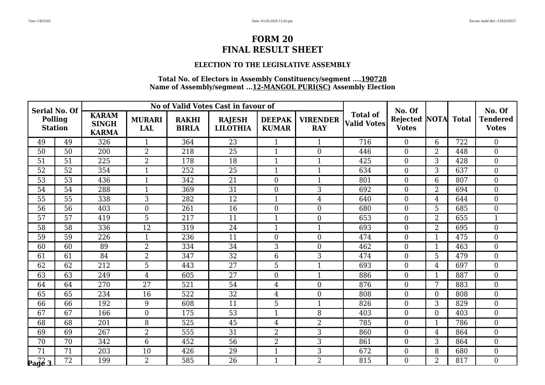## **ELECTION TO THE LEGISLATIVE ASSEMBLY**

| <b>Serial No. Of</b>             |                 |                                              |                      |                              | No of Valid Votes Cast in favour of |                               |                               |                                       | No. Of                          |                |              | No. Of                          |
|----------------------------------|-----------------|----------------------------------------------|----------------------|------------------------------|-------------------------------------|-------------------------------|-------------------------------|---------------------------------------|---------------------------------|----------------|--------------|---------------------------------|
| <b>Polling</b><br><b>Station</b> |                 | <b>KARAM</b><br><b>SINGH</b><br><b>KARMA</b> | <b>MURARI</b><br>LAL | <b>RAKHI</b><br><b>BIRLA</b> | <b>RAJESH</b><br><b>LILOTHIA</b>    | <b>DEEPAK</b><br><b>KUMAR</b> | <b>VIRENDER</b><br><b>RAY</b> | <b>Total of</b><br><b>Valid Votes</b> | <b>Rejected</b><br><b>Votes</b> | <b>NOTA</b>    | <b>Total</b> | <b>Tendered</b><br><b>Votes</b> |
| 49                               | 49              | 326                                          | $\mathbf{1}$         | 364                          | 23                                  | $\mathbf{1}$                  | $\mathbf{1}$                  | 716                                   | $\theta$                        | 6              | 722          | $\Omega$                        |
| 50                               | 50              | 200                                          | $\overline{2}$       | 218                          | 25                                  | $\mathbf 1$                   | $\mathbf{0}$                  | 446                                   | $\boldsymbol{0}$                | 2              | 448          | $\boldsymbol{0}$                |
| 51                               | 51              | $\overline{225}$                             | $\overline{2}$       | 178                          | 18                                  | $\mathbf 1$                   | $\mathbf{1}$                  | 425                                   | $\boldsymbol{0}$                | 3              | 428          | $\mathbf{0}$                    |
| 52                               | 52              | 354                                          | $\mathbf{1}$         | 252                          | 25                                  | $\mathbf{1}$                  | $\mathbf{1}$                  | 634                                   | $\overline{0}$                  | 3              | 637          | $\overline{0}$                  |
| 53                               | 53              | 436                                          | $\mathbf{1}$         | 342                          | $\overline{21}$                     | $\overline{0}$                | $\mathbf{1}$                  | 801                                   | $\overline{0}$                  | $6\phantom{1}$ | 807          | $\overline{0}$                  |
| 54                               | 54              | 288                                          | $\mathbf{1}$         | 369                          | $\overline{31}$                     | $\overline{0}$                | 3                             | 692                                   | $\mathbf{0}$                    | $\overline{2}$ | 694          | $\mathbf{0}$                    |
| 55                               | 55              | 338                                          | 3                    | 282                          | 12                                  | $\mathbf{1}$                  | $\overline{4}$                | 640                                   | $\theta$                        | 4              | 644          | $\overline{0}$                  |
| 56                               | 56              | 403                                          | $\boldsymbol{0}$     | 261                          | 16                                  | $\overline{0}$                | $\boldsymbol{0}$              | 680                                   | $\boldsymbol{0}$                | 5              | 685          | $\boldsymbol{0}$                |
| 57                               | 57              | 419                                          | 5                    | 217                          | 11                                  | $\mathbf{1}$                  | $\boldsymbol{0}$              | 653                                   | $\mathbf{0}$                    | $\overline{2}$ | 655          | $\mathbf{1}$                    |
| 58                               | 58              | 336                                          | 12                   | 319                          | 24                                  | $\mathbf{1}$                  | $\mathbf{1}$                  | 693                                   | $\theta$                        | $\overline{2}$ | 695          | $\overline{0}$                  |
| 59                               | 59              | 226                                          | $\mathbf{1}$         | 236                          | 11                                  | $\Omega$                      | $\boldsymbol{0}$              | 474                                   | $\overline{0}$                  | 1              | 475          | $\overline{0}$                  |
| 60                               | 60              | 89                                           | $\overline{2}$       | 334                          | 34                                  | 3                             | $\boldsymbol{0}$              | 462                                   | $\mathbf{0}$                    | $\mathbf{1}$   | 463          | $\boldsymbol{0}$                |
| 61                               | 61              | 84                                           | $\overline{2}$       | 347                          | 32                                  | 6                             | 3                             | 474                                   | $\boldsymbol{0}$                | 5              | 479          | $\boldsymbol{0}$                |
| 62                               | 62              | 212                                          | 5                    | 443                          | 27                                  | 5                             | $\mathbf{1}$                  | 693                                   | $\overline{0}$                  | $\overline{4}$ | 697          | $\overline{0}$                  |
| 63                               | 63              | 249                                          | $\overline{4}$       | 605                          | 27                                  | $\overline{0}$                | $\mathbf{1}$                  | 886                                   | $\overline{0}$                  | $\mathbf{1}$   | 887          | $\overline{0}$                  |
| 64                               | 64              | 270                                          | 27                   | 521                          | 54                                  | $\overline{4}$                | $\boldsymbol{0}$              | 876                                   | $\boldsymbol{0}$                | 7              | 883          | $\boldsymbol{0}$                |
| 65                               | 65              | 234                                          | 16                   | 522                          | 32                                  | 4                             | $\boldsymbol{0}$              | 808                                   | $\mathbf{0}$                    | $\overline{0}$ | 808          | $\overline{0}$                  |
| 66                               | 66              | 192                                          | 9                    | 608                          | 11                                  | 5                             | $\mathbf{1}$                  | 826                                   | $\overline{0}$                  | 3              | 829          | $\overline{0}$                  |
| 67                               | 67              | 166                                          | $\overline{0}$       | 175                          | 53                                  | $\mathbf{1}$                  | 8                             | 403                                   | $\overline{0}$                  | $\overline{0}$ | 403          | $\overline{0}$                  |
| 68                               | 68              | 201                                          | 8                    | 525                          | 45                                  | 4                             | $\overline{2}$                | 785                                   | $\mathbf{0}$                    | $\mathbf{1}$   | 786          | $\boldsymbol{0}$                |
| 69                               | 69              | 267                                          | $\overline{2}$       | 555                          | 31                                  | $\overline{2}$                | 3                             | 860                                   | $\overline{0}$                  | 4              | 864          | $\overline{0}$                  |
| 70                               | 70              | 342                                          | 6                    | 452                          | 56                                  | 2                             | 3                             | 861                                   | $\mathbf{0}$                    | 3              | 864          | $\boldsymbol{0}$                |
| 71                               | 71              | 203                                          | 10                   | 426                          | 29                                  | $\mathbf{1}$                  | 3                             | 672                                   | $\mathbf{0}$                    | 8              | 680          | $\overline{0}$                  |
| $\sqrt{\frac{72}{9}}$            | $\overline{72}$ | 199                                          | $\overline{2}$       | 585                          | 26                                  | $\mathbf{1}$                  | $\overline{2}$                | 815                                   | $\theta$                        | $\overline{2}$ | 817          | $\overline{0}$                  |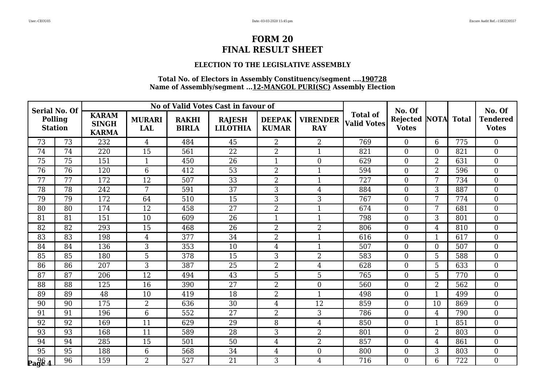### **ELECTION TO THE LEGISLATIVE ASSEMBLY**

| <b>Serial No. Of</b>                                  |                 |                                              |                             |                              | No of Valid Votes Cast in favour of |                               |                               |                                       | No. Of                          |                  |              | No. Of                          |
|-------------------------------------------------------|-----------------|----------------------------------------------|-----------------------------|------------------------------|-------------------------------------|-------------------------------|-------------------------------|---------------------------------------|---------------------------------|------------------|--------------|---------------------------------|
| <b>Polling</b><br><b>Station</b>                      |                 | <b>KARAM</b><br><b>SINGH</b><br><b>KARMA</b> | <b>MURARI</b><br><b>LAL</b> | <b>RAKHI</b><br><b>BIRLA</b> | <b>RAJESH</b><br><b>LILOTHIA</b>    | <b>DEEPAK</b><br><b>KUMAR</b> | <b>VIRENDER</b><br><b>RAY</b> | <b>Total of</b><br><b>Valid Votes</b> | <b>Rejected</b><br><b>Votes</b> | <b>NOTA</b>      | <b>Total</b> | <b>Tendered</b><br><b>Votes</b> |
| 73                                                    | 73              | 232                                          | $\overline{4}$              | 484                          | 45                                  | $\overline{2}$                | $\overline{2}$                | 769                                   | $\Omega$                        | 6                | 775          | $\theta$                        |
| 74                                                    | 74              | 220                                          | 15                          | 561                          | 22                                  | $\overline{2}$                | $\mathbf{1}$                  | 821                                   | $\mathbf{0}$                    | $\overline{0}$   | 821          | $\boldsymbol{0}$                |
| $\overline{75}$                                       | 75              | 151                                          | $\mathbf{1}$                | 450                          | 26                                  | $\mathbf{1}$                  | $\boldsymbol{0}$              | 629                                   | $\boldsymbol{0}$                | $\overline{2}$   | 631          | $\boldsymbol{0}$                |
| 76                                                    | 76              | 120                                          | 6                           | 412                          | 53                                  | $\overline{2}$                | $\mathbf{1}$                  | 594                                   | $\theta$                        | $\overline{2}$   | 596          | $\boldsymbol{0}$                |
| 77                                                    | 77              | 172                                          | 12                          | 507                          | $\overline{33}$                     | $\overline{2}$                | $\mathbf{1}$                  | 727                                   | $\overline{0}$                  | 7                | 734          | $\overline{0}$                  |
| $\overline{78}$                                       | 78              | 242                                          | 7                           | 591                          | $\overline{37}$                     | 3                             | $\overline{4}$                | 884                                   | $\overline{0}$                  | 3                | 887          | $\overline{0}$                  |
| 79                                                    | 79              | 172                                          | 64                          | 510                          | 15                                  | 3                             | $\mathfrak{Z}$                | 767                                   | $\theta$                        | 7                | 774          | $\boldsymbol{0}$                |
| 80                                                    | 80              | 174                                          | 12                          | 458                          | 27                                  | $\overline{2}$                | $\mathbf{1}$                  | 674                                   | $\overline{0}$                  | 7                | 681          | $\boldsymbol{0}$                |
| 81                                                    | 81              | 151                                          | 10                          | 609                          | 26                                  | $\overline{1}$                | $\mathbf{1}$                  | 798                                   | $\mathbf{0}$                    | 3                | 801          | $\boldsymbol{0}$                |
| 82                                                    | 82              | 293                                          | 15                          | 468                          | 26                                  | $\overline{2}$                | $\overline{2}$                | 806                                   | $\theta$                        | 4                | 810          | $\overline{0}$                  |
| 83                                                    | 83              | 198                                          | 4                           | 377                          | 34                                  | $\overline{2}$                | $\mathbf{1}$                  | 616                                   | $\theta$                        | 1                | 617          | $\overline{0}$                  |
| 84                                                    | 84              | 136                                          | 3                           | 353                          | 10                                  | 4                             | $\mathbf{1}$                  | 507                                   | $\overline{0}$                  | $\boldsymbol{0}$ | 507          | $\boldsymbol{0}$                |
| 85                                                    | 85              | 180                                          | 5                           | 378                          | 15                                  | 3                             | $\overline{2}$                | 583                                   | $\overline{0}$                  | 5                | 588          | $\boldsymbol{0}$                |
| 86                                                    | 86              | 207                                          | 3                           | 387                          | 25                                  | $\overline{2}$                | $\overline{4}$                | 628                                   | $\overline{0}$                  | 5                | 633          | $\boldsymbol{0}$                |
| 87                                                    | 87              | 206                                          | 12                          | 494                          | 43                                  | 5                             | 5                             | 765                                   | $\overline{0}$                  | 5                | 770          | $\overline{0}$                  |
| 88                                                    | 88              | 125                                          | 16                          | 390                          | 27                                  | $\overline{2}$                | $\mathbf{0}$                  | 560                                   | $\overline{0}$                  | $\overline{2}$   | 562          | $\boldsymbol{0}$                |
| 89                                                    | 89              | 48                                           | 10                          | 419                          | 18                                  | $\overline{2}$                | $\mathbf{1}$                  | 498                                   | $\theta$                        | 1                | 499          | $\boldsymbol{0}$                |
| 90                                                    | 90              | 175                                          | $\overline{2}$              | 636                          | 30                                  | $\overline{4}$                | $\overline{12}$               | 859                                   | $\theta$                        | 10               | 869          | $\overline{0}$                  |
| 91                                                    | 91              | 196                                          | 6                           | 552                          | 27                                  | $\overline{2}$                | 3                             | 786                                   | $\theta$                        | $\overline{4}$   | 790          | $\boldsymbol{0}$                |
| 92                                                    | 92              | 169                                          | 11                          | 629                          | 29                                  | 8                             | $\overline{4}$                | 850                                   | $\overline{0}$                  | $\mathbf{1}$     | 851          | $\boldsymbol{0}$                |
| 93                                                    | 93              | 168                                          | 11                          | 589                          | 28                                  | 3                             | $\overline{2}$                | 801                                   | $\theta$                        | $\overline{2}$   | 803          | $\overline{0}$                  |
| 94                                                    | 94              | 285                                          | 15                          | 501                          | 50                                  | 4                             | $\overline{2}$                | 857                                   | $\theta$                        | $\overline{4}$   | 861          | $\boldsymbol{0}$                |
| $\overline{95}$                                       | 95              | 188                                          | 6                           | 568                          | 34                                  | $\overline{4}$                | $\boldsymbol{0}$              | 800                                   | $\mathbf{0}$                    | 3                | 803          | $\overline{0}$                  |
| $\mathbf{p}_{\mathbf{a}}\mathbf{g}\mathbf{\hat{e}}$ 4 | $\overline{96}$ | 159                                          | $\overline{2}$              | 527                          | 21                                  | 3                             | $\overline{4}$                | 716                                   | $\Omega$                        | 6                | 722          | $\overline{0}$                  |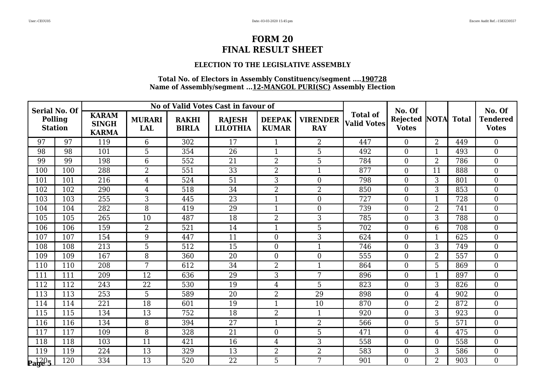### **ELECTION TO THE LEGISLATIVE ASSEMBLY**

| <b>Serial No. Of</b>      |     |                                              |                             |                              | No of Valid Votes Cast in favour of |                               |                               |                                       | No. Of                          |                |              | No. Of                          |
|---------------------------|-----|----------------------------------------------|-----------------------------|------------------------------|-------------------------------------|-------------------------------|-------------------------------|---------------------------------------|---------------------------------|----------------|--------------|---------------------------------|
| Polling<br><b>Station</b> |     | <b>KARAM</b><br><b>SINGH</b><br><b>KARMA</b> | <b>MURARI</b><br><b>LAL</b> | <b>RAKHI</b><br><b>BIRLA</b> | <b>RAJESH</b><br><b>LILOTHIA</b>    | <b>DEEPAK</b><br><b>KUMAR</b> | <b>VIRENDER</b><br><b>RAY</b> | <b>Total of</b><br><b>Valid Votes</b> | <b>Rejected</b><br><b>Votes</b> | <b>NOTA</b>    | <b>Total</b> | <b>Tendered</b><br><b>Votes</b> |
| 97                        | 97  | 119                                          | 6                           | 302                          | 17                                  | 1                             | $\overline{2}$                | 447                                   | $\theta$                        | 2              | 449          | $\Omega$                        |
| 98                        | 98  | 101                                          | 5                           | 354                          | 26                                  | 1                             | 5                             | 492                                   | $\mathbf{0}$                    | 1              | 493          | $\boldsymbol{0}$                |
| 99                        | 99  | 198                                          | 6                           | 552                          | 21                                  | $\overline{2}$                | $\overline{5}$                | 784                                   | $\boldsymbol{0}$                | $\overline{2}$ | 786          | $\overline{0}$                  |
| 100                       | 100 | 288                                          | $\overline{2}$              | 551                          | 33                                  | $\overline{2}$                | $\mathbf{1}$                  | 877                                   | $\overline{0}$                  | 11             | 888          | $\boldsymbol{0}$                |
| 101                       | 101 | $\overline{216}$                             | $\overline{4}$              | 524                          | $\overline{51}$                     | 3                             | $\boldsymbol{0}$              | 798                                   | $\overline{0}$                  | 3              | 801          | $\overline{0}$                  |
| 102                       | 102 | 290                                          | $\overline{4}$              | 518                          | 34                                  | $\overline{2}$                | $\overline{2}$                | 850                                   | $\mathbf{0}$                    | 3              | 853          | $\mathbf{0}$                    |
| 103                       | 103 | 255                                          | 3                           | 445                          | 23                                  | $\mathbf{1}$                  | $\overline{0}$                | 727                                   | $\theta$                        | $\mathbf{1}$   | 728          | $\overline{0}$                  |
| 104                       | 104 | 282                                          | 8                           | 419                          | 29                                  | 1                             | $\overline{0}$                | 739                                   | $\mathbf{0}$                    | $\overline{2}$ | 741          | $\overline{0}$                  |
| 105                       | 105 | 265                                          | 10                          | 487                          | 18                                  | $\overline{2}$                | 3                             | 785                                   | $\mathbf{0}$                    | 3              | 788          | $\boldsymbol{0}$                |
| 106                       | 106 | 159                                          | $\overline{2}$              | 521                          | 14                                  | $\mathbf{1}$                  | $\overline{5}$                | 702                                   | $\theta$                        | 6              | 708          | $\overline{0}$                  |
| 107                       | 107 | 154                                          | 9                           | 447                          | 11                                  | $\theta$                      | 3                             | 624                                   | $\overline{0}$                  | $\mathbf{1}$   | 625          | $\overline{0}$                  |
| 108                       | 108 | 213                                          | 5                           | 512                          | 15                                  | $\overline{0}$                | $\mathbf{1}$                  | 746                                   | $\mathbf{0}$                    | 3              | 749          | $\boldsymbol{0}$                |
| 109                       | 109 | 167                                          | 8                           | 360                          | 20                                  | $\overline{0}$                | $\overline{0}$                | 555                                   | $\boldsymbol{0}$                | $\overline{2}$ | 557          | $\boldsymbol{0}$                |
| 110                       | 110 | 208                                          | 7                           | 612                          | 34                                  | $\overline{2}$                | $\mathbf{1}$                  | 864                                   | $\overline{0}$                  | 5              | 869          | $\overline{0}$                  |
| 111                       | 111 | 209                                          | 12                          | 636                          | 29                                  | 3                             | 7                             | 896                                   | $\overline{0}$                  | $\overline{1}$ | 897          | $\overline{0}$                  |
| 112                       | 112 | 243                                          | 22                          | 530                          | 19                                  | $\overline{4}$                | 5                             | 823                                   | $\overline{0}$                  | 3              | 826          | $\boldsymbol{0}$                |
| 113                       | 113 | 253                                          | 5                           | 589                          | 20                                  | 2                             | 29                            | 898                                   | $\mathbf{0}$                    | $\overline{4}$ | 902          | $\boldsymbol{0}$                |
| 114                       | 114 | 221                                          | $\overline{18}$             | 601                          | 19                                  | 1                             | 10                            | 870                                   | $\overline{0}$                  | $\overline{2}$ | 872          | $\overline{0}$                  |
| 115                       | 115 | 134                                          | 13                          | 752                          | 18                                  | $\overline{2}$                | $\mathbf{1}$                  | 920                                   | $\overline{0}$                  | 3              | 923          | $\overline{0}$                  |
| 116                       | 116 | 134                                          | 8                           | 394                          | 27                                  | 1                             | $\overline{2}$                | 566                                   | $\overline{0}$                  | 5              | 571          | $\boldsymbol{0}$                |
| 117                       | 117 | 109                                          | 8                           | 328                          | 21                                  | $\theta$                      | 5                             | 471                                   | $\overline{0}$                  | 4              | 475          | $\overline{0}$                  |
| 118                       | 118 | 103                                          | 11                          | 421                          | 16                                  | 4                             | 3                             | 558                                   | $\boldsymbol{0}$                | $\overline{0}$ | 558          | $\boldsymbol{0}$                |
| 119                       | 119 | 224                                          | 13                          | 329                          | 13                                  | $\overline{2}$                | $\overline{2}$                | 583                                   | $\mathbf{0}$                    | 3              | 586          | $\boldsymbol{0}$                |
| $\mathbf{p_1}^{120}$ 5    | 120 | 334                                          | 13                          | 520                          | 22                                  | 5                             | 7                             | 901                                   | $\theta$                        | 2              | 903          | $\overline{0}$                  |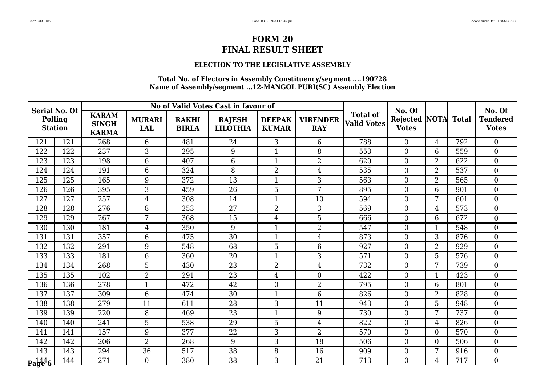### **ELECTION TO THE LEGISLATIVE ASSEMBLY**

| <b>Serial No. Of</b>      |                  |                                              |                             |                              | No of Valid Votes Cast in favour of |                               |                               |                                       | No. Of                          |                |              | No. Of                          |
|---------------------------|------------------|----------------------------------------------|-----------------------------|------------------------------|-------------------------------------|-------------------------------|-------------------------------|---------------------------------------|---------------------------------|----------------|--------------|---------------------------------|
| Polling<br><b>Station</b> |                  | <b>KARAM</b><br><b>SINGH</b><br><b>KARMA</b> | <b>MURARI</b><br><b>LAL</b> | <b>RAKHI</b><br><b>BIRLA</b> | <b>RAJESH</b><br><b>LILOTHIA</b>    | <b>DEEPAK</b><br><b>KUMAR</b> | <b>VIRENDER</b><br><b>RAY</b> | <b>Total of</b><br><b>Valid Votes</b> | <b>Rejected</b><br><b>Votes</b> | <b>NOTA</b>    | <b>Total</b> | <b>Tendered</b><br><b>Votes</b> |
| 121                       | 121              | 268                                          | 6                           | 481                          | 24                                  | 3                             | 6                             | 788                                   | $\theta$                        | $\overline{4}$ | 792          | $\Omega$                        |
| 122                       | 122              | 237                                          | 3                           | 295                          | 9                                   | 1                             | 8                             | 553                                   | $\boldsymbol{0}$                | 6              | 559          | $\boldsymbol{0}$                |
| 123                       | 123              | 198                                          | 6                           | 407                          | $6\phantom{1}$                      | $\mathbf{1}$                  | $\overline{2}$                | 620                                   | $\boldsymbol{0}$                | $\overline{2}$ | 622          | $\overline{0}$                  |
| 124                       | 124              | 191                                          | 6                           | 324                          | 8                                   | $\overline{2}$                | 4                             | 535                                   | $\overline{0}$                  | $\overline{2}$ | 537          | $\boldsymbol{0}$                |
| 125                       | $\overline{125}$ | 165                                          | 9                           | 372                          | $\overline{13}$                     |                               | $\overline{3}$                | 563                                   | $\overline{0}$                  | $\overline{2}$ | 565          | $\overline{0}$                  |
| 126                       | 126              | 395                                          | 3                           | 459                          | 26                                  | 5                             | 7                             | 895                                   | $\mathbf{0}$                    | 6              | 901          | $\mathbf{0}$                    |
| 127                       | 127              | 257                                          | $\overline{4}$              | 308                          | 14                                  | 1                             | 10                            | 594                                   | $\theta$                        | 7              | 601          | $\overline{0}$                  |
| 128                       | 128              | 276                                          | 8                           | 253                          | 27                                  | $\overline{2}$                | 3                             | 569                                   | $\theta$                        | 4              | 573          | $\boldsymbol{0}$                |
| 129                       | 129              | 267                                          | 7                           | 368                          | 15                                  | $\overline{4}$                | 5                             | 666                                   | $\mathbf{0}$                    | 6              | 672          | $\boldsymbol{0}$                |
| 130                       | 130              | 181                                          | $\overline{4}$              | 350                          | 9                                   | $\mathbf{1}$                  | $\overline{2}$                | 547                                   | $\theta$                        | $\mathbf{1}$   | 548          | $\overline{0}$                  |
| 131                       | 131              | 357                                          | 6                           | 475                          | 30                                  | 1                             | 4                             | 873                                   | $\overline{0}$                  | 3              | 876          | $\overline{0}$                  |
| 132                       | 132              | 291                                          | 9                           | 548                          | 68                                  | 5                             | 6                             | 927                                   | $\mathbf{0}$                    | $\overline{2}$ | 929          | $\boldsymbol{0}$                |
| 133                       | 133              | 181                                          | 6                           | 360                          | 20                                  | $\mathbf{1}$                  | 3                             | 571                                   | $\boldsymbol{0}$                | 5              | 576          | $\overline{0}$                  |
| 134                       | 134              | 268                                          | 5                           | 430                          | 23                                  | $\overline{2}$                | $\overline{4}$                | 732                                   | $\overline{0}$                  | 7              | 739          | $\overline{0}$                  |
| 135                       | 135              | 102                                          | $\overline{2}$              | 291                          | 23                                  | $\overline{4}$                | $\boldsymbol{0}$              | 422                                   | $\overline{0}$                  | $\mathbf{1}$   | 423          | $\overline{0}$                  |
| 136                       | 136              | 278                                          | 1                           | 472                          | 42                                  | $\Omega$                      | $\overline{2}$                | 795                                   | $\overline{0}$                  | 6              | 801          | $\boldsymbol{0}$                |
| 137                       | 137              | 309                                          | 6                           | 474                          | 30                                  | $\mathbf{1}$                  | $6\phantom{.}6$               | 826                                   | $\mathbf{0}$                    | $\overline{2}$ | 828          | $\boldsymbol{0}$                |
| 138                       | 138              | 279                                          | 11                          | 611                          | 28                                  | 3                             | 11                            | 943                                   | $\overline{0}$                  | 5              | 948          | $\overline{0}$                  |
| 139                       | 139              | 220                                          | 8                           | 469                          | 23                                  | 1                             | 9                             | 730                                   | $\overline{0}$                  | 7              | 737          | $\overline{0}$                  |
| 140                       | 140              | 241                                          | 5                           | 538                          | 29                                  | 5                             | 4                             | 822                                   | $\mathbf{0}$                    | 4              | 826          | $\boldsymbol{0}$                |
| 141                       | 141              | 157                                          | 9                           | 377                          | 22                                  | 3                             | $\overline{2}$                | 570                                   | $\overline{0}$                  | $\overline{0}$ | 570          | $\theta$                        |
| 142                       | 142              | 206                                          | 2                           | 268                          | 9                                   | 3                             | 18                            | 506                                   | $\boldsymbol{0}$                | $\overline{0}$ | 506          | $\boldsymbol{0}$                |
| 143                       | 143              | 294                                          | 36                          | 517                          | 38                                  | 8                             | 16                            | 909                                   | $\mathbf{0}$                    | 7              | 916          | $\boldsymbol{0}$                |
| $\mathbf{p_1}^{144}_{96}$ | 144              | 271                                          | $\overline{0}$              | 380                          | 38                                  | 3                             | 21                            | 713                                   | $\Omega$                        | $\overline{4}$ | 717          | $\overline{0}$                  |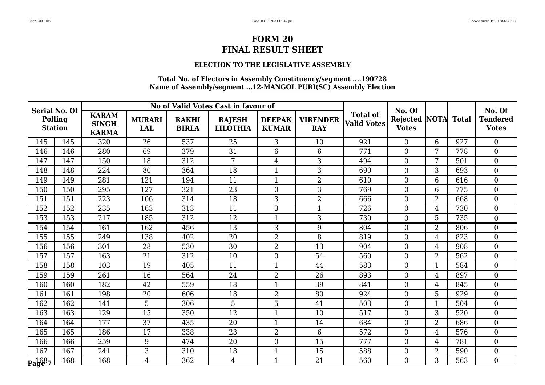### **ELECTION TO THE LEGISLATIVE ASSEMBLY**

| <b>Serial No. Of</b>                            |     |                                              |                             |                              | No of Valid Votes Cast in favour of |                               |                               |                                       | No. Of                          |                |              | No. Of                          |
|-------------------------------------------------|-----|----------------------------------------------|-----------------------------|------------------------------|-------------------------------------|-------------------------------|-------------------------------|---------------------------------------|---------------------------------|----------------|--------------|---------------------------------|
| <b>Polling</b><br><b>Station</b>                |     | <b>KARAM</b><br><b>SINGH</b><br><b>KARMA</b> | <b>MURARI</b><br><b>LAL</b> | <b>RAKHI</b><br><b>BIRLA</b> | <b>RAJESH</b><br><b>LILOTHIA</b>    | <b>DEEPAK</b><br><b>KUMAR</b> | <b>VIRENDER</b><br><b>RAY</b> | <b>Total of</b><br><b>Valid Votes</b> | <b>Rejected</b><br><b>Votes</b> | <b>NOTA</b>    | <b>Total</b> | <b>Tendered</b><br><b>Votes</b> |
| 145                                             | 145 | 320                                          | 26                          | 537                          | 25                                  | 3                             | 10                            | 921                                   | $\theta$                        | 6              | 927          | $\overline{0}$                  |
| 146                                             | 146 | 280                                          | 69                          | 379                          | 31                                  | 6                             | $6\phantom{1}6$               | 771                                   | $\boldsymbol{0}$                | 7              | 778          | $\boldsymbol{0}$                |
| 147                                             | 147 | 150                                          | 18                          | 312                          | $\overline{7}$                      | 4                             | $\overline{3}$                | 494                                   | $\boldsymbol{0}$                | 7              | 501          | $\boldsymbol{0}$                |
| 148                                             | 148 | 224                                          | 80                          | 364                          | 18                                  | $\mathbf{1}$                  | 3                             | 690                                   | $\overline{0}$                  | 3              | 693          | $\boldsymbol{0}$                |
| 149                                             | 149 | 281                                          | 121                         | 194                          | 11                                  | $\mathbf 1$                   | $\overline{2}$                | 610                                   | $\overline{0}$                  | 6              | 616          | $\overline{0}$                  |
| 150                                             | 150 | 295                                          | 127                         | 321                          | 23                                  | $\overline{0}$                | 3                             | 769                                   | $\boldsymbol{0}$                | 6              | 775          | $\overline{0}$                  |
| 151                                             | 151 | 223                                          | 106                         | 314                          | 18                                  | 3                             | $\overline{2}$                | 666                                   | $\overline{0}$                  | $\overline{2}$ | 668          | $\boldsymbol{0}$                |
| 152                                             | 152 | 235                                          | 163                         | 313                          | 11                                  | 3                             | $\mathbf{1}$                  | 726                                   | $\boldsymbol{0}$                | 4              | 730          | $\boldsymbol{0}$                |
| 153                                             | 153 | 217                                          | 185                         | 312                          | 12                                  | $\mathbf{1}$                  | 3                             | 730                                   | $\boldsymbol{0}$                | 5              | 735          | $\boldsymbol{0}$                |
| 154                                             | 154 | 161                                          | 162                         | 456                          | 13                                  | 3                             | 9                             | 804                                   | $\theta$                        | $\overline{2}$ | 806          | $\boldsymbol{0}$                |
| 155                                             | 155 | 249                                          | 138                         | 402                          | 20                                  | 2                             | 8                             | 819                                   | $\overline{0}$                  | $\overline{4}$ | 823          | $\overline{0}$                  |
| 156                                             | 156 | 301                                          | 28                          | 530                          | 30                                  | 2                             | 13                            | 904                                   | $\boldsymbol{0}$                | $\overline{4}$ | 908          | $\boldsymbol{0}$                |
| 157                                             | 157 | 163                                          | 21                          | 312                          | 10                                  | $\overline{0}$                | 54                            | 560                                   | $\overline{0}$                  | $\overline{2}$ | 562          | $\boldsymbol{0}$                |
| 158                                             | 158 | 103                                          | 19                          | 405                          | 11                                  | $\mathbf{1}$                  | 44                            | 583                                   | $\overline{0}$                  | 1              | 584          | $\overline{0}$                  |
| 159                                             | 159 | 261                                          | 16                          | 564                          | 24                                  | 2                             | 26                            | 893                                   | $\overline{0}$                  | 4              | 897          | $\overline{0}$                  |
| 160                                             | 160 | 182                                          | 42                          | 559                          | 18                                  | 1                             | 39                            | 841                                   | $\overline{0}$                  | 4              | 845          | $\boldsymbol{0}$                |
| 161                                             | 161 | 198                                          | 20                          | 606                          | 18                                  | $\overline{2}$                | 80                            | 924                                   | $\overline{0}$                  | 5              | 929          | $\boldsymbol{0}$                |
| 162                                             | 162 | 141                                          | 5                           | 306                          | 5                                   | 5                             | 41                            | 503                                   | $\overline{0}$                  | $\overline{1}$ | 504          | $\overline{0}$                  |
| 163                                             | 163 | 129                                          | 15                          | 350                          | 12                                  | 1                             | 10                            | 517                                   | $\theta$                        | 3              | 520          | $\boldsymbol{0}$                |
| 164                                             | 164 | 177                                          | 37                          | 435                          | 20                                  | 1                             | 14                            | 684                                   | $\boldsymbol{0}$                | $\overline{2}$ | 686          | $\boldsymbol{0}$                |
| 165                                             | 165 | 186                                          | 17                          | 338                          | 23                                  | $\overline{2}$                | $6\phantom{1}$                | 572                                   | $\theta$                        | $\overline{4}$ | 576          | $\overline{0}$                  |
| 166                                             | 166 | 259                                          | 9                           | 474                          | 20                                  | $\overline{0}$                | 15                            | 777                                   | $\boldsymbol{0}$                | 4              | 781          | $\boldsymbol{0}$                |
| 167                                             | 167 | 241                                          | 3                           | 310                          | 18                                  | $\mathbf{1}$                  | 15                            | 588                                   | $\boldsymbol{0}$                | $\overline{2}$ | 590          | $\overline{0}$                  |
| $\mathbf{p}_{\mathbf{a}\mathbf{y}\mathbf{e}^3}$ | 168 | 168                                          | $\overline{4}$              | 362                          | $\overline{4}$                      | $\mathbf{1}$                  | 21                            | 560                                   | $\Omega$                        | 3              | 563          | $\overline{0}$                  |